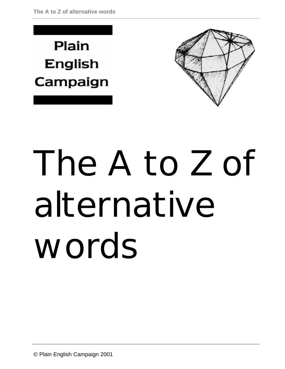# Plain **English** Campaign



# The A to Z of alternative words

© Plain English Campaign 2001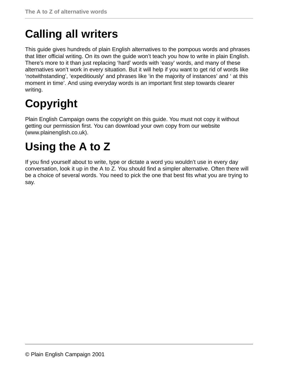# **Calling all writers**

This guide gives hundreds of plain English alternatives to the pompous words and phrases that litter official writing. On its own the guide won't teach you how to write in plain English. There's more to it than just replacing 'hard' words with 'easy' words, and many of these alternatives won't work in every situation. But it will help if you want to get rid of words like 'notwithstanding', 'expeditiously' and phrases like 'in the majority of instances' and ' at this moment in time'. And using everyday words is an important first step towards clearer writing.

# **Copyright**

Plain English Campaign owns the copyright on this guide. You must not copy it without getting our permission first. You can download your own copy from our website (www.plainenglish.co.uk).

# **Using the A to Z**

If you find yourself about to write, type or dictate a word you wouldn't use in every day conversation, look it up in the A to Z. You should find a simpler alternative. Often there will be a choice of several words. You need to pick the one that best fits what you are trying to say.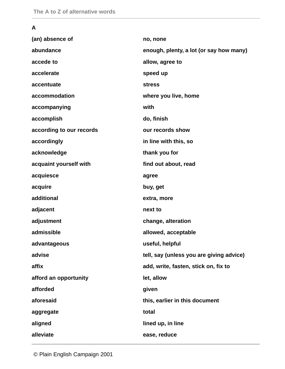#### **A**

| (an) absence of          | no, none                                 |
|--------------------------|------------------------------------------|
| abundance                | enough, plenty, a lot (or say how many)  |
| accede to                | allow, agree to                          |
| accelerate               | speed up                                 |
| accentuate               | <b>stress</b>                            |
| accommodation            | where you live, home                     |
| accompanying             | with                                     |
| accomplish               | do, finish                               |
| according to our records | our records show                         |
| accordingly              | in line with this, so                    |
| acknowledge              | thank you for                            |
| acquaint yourself with   | find out about, read                     |
| acquiesce                | agree                                    |
| acquire                  | buy, get                                 |
| additional               | extra, more                              |
| adjacent                 | next to                                  |
| adjustment               | change, alteration                       |
| admissible               | allowed, acceptable                      |
| advantageous             | useful, helpful                          |
| advise                   | tell, say (unless you are giving advice) |
| affix                    | add, write, fasten, stick on, fix to     |
| afford an opportunity    | let, allow                               |
| afforded                 | given                                    |
| aforesaid                | this, earlier in this document           |
| aggregate                | total                                    |
| aligned                  | lined up, in line                        |
| alleviate                | ease, reduce                             |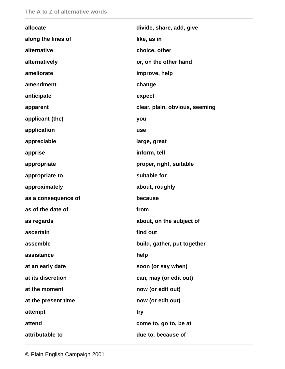| allocate            | divide, share, add, give       |
|---------------------|--------------------------------|
| along the lines of  | like, as in                    |
| alternative         | choice, other                  |
| alternatively       | or, on the other hand          |
| ameliorate          | improve, help                  |
| amendment           | change                         |
| anticipate          | expect                         |
| apparent            | clear, plain, obvious, seeming |
| applicant (the)     | you                            |
| application         | use                            |
| appreciable         | large, great                   |
| apprise             | inform, tell                   |
| appropriate         | proper, right, suitable        |
| appropriate to      | suitable for                   |
| approximately       | about, roughly                 |
| as a consequence of | because                        |
| as of the date of   | from                           |
| as regards          | about, on the subject of       |
| ascertain           | find out                       |
| assemble            | build, gather, put together    |
| assistance          | help                           |
| at an early date    | soon (or say when)             |
| at its discretion   | can, may (or edit out)         |
| at the moment       | now (or edit out)              |
| at the present time | now (or edit out)              |
| attempt             | try                            |
| attend              | come to, go to, be at          |
| attributable to     | due to, because of             |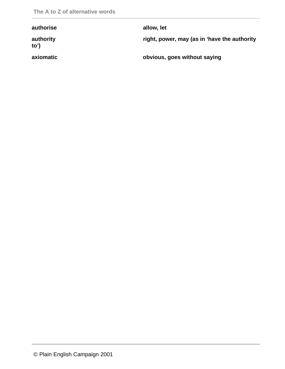| authorise         | allow, let                                   |
|-------------------|----------------------------------------------|
| authority<br>to') | right, power, may (as in 'have the authority |
| axiomatic         | obvious, goes without saying                 |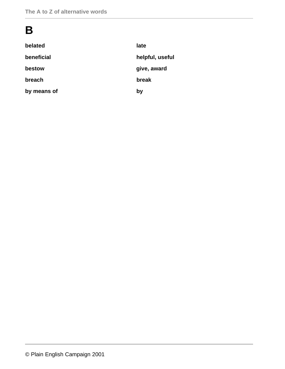# **B**

| belated     | late            |
|-------------|-----------------|
| beneficial  | helpful, useful |
| bestow      | give, award     |
| breach      | break           |
| by means of | by              |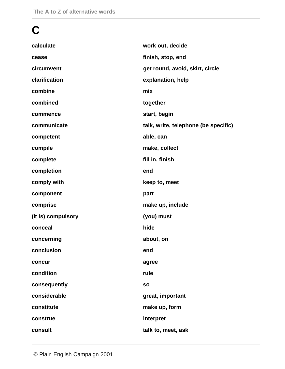# **C**

| calculate          | work out, decide                     |
|--------------------|--------------------------------------|
| cease              | finish, stop, end                    |
| circumvent         | get round, avoid, skirt, circle      |
| clarification      | explanation, help                    |
| combine            | mix                                  |
| combined           | together                             |
| commence           | start, begin                         |
| communicate        | talk, write, telephone (be specific) |
| competent          | able, can                            |
| compile            | make, collect                        |
| complete           | fill in, finish                      |
| completion         | end                                  |
| comply with        | keep to, meet                        |
| component          | part                                 |
| comprise           | make up, include                     |
| (it is) compulsory | (you) must                           |
| conceal            | hide                                 |
| concerning         | about, on                            |
| conclusion         | end                                  |
| concur             | agree                                |
| condition          | rule                                 |
| consequently       | <b>SO</b>                            |
| considerable       | great, important                     |
| constitute         | make up, form                        |
| construe           | interpret                            |
| consult            | talk to, meet, ask                   |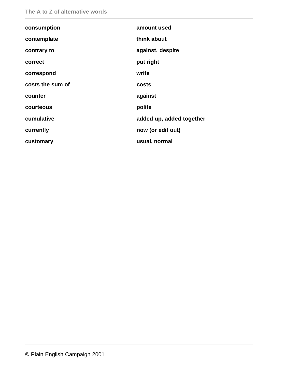| consumption      | amount used              |
|------------------|--------------------------|
| contemplate      | think about              |
| contrary to      | against, despite         |
| correct          | put right                |
| correspond       | write                    |
| costs the sum of | costs                    |
| counter          | against                  |
| courteous        | polite                   |
| cumulative       | added up, added together |
| currently        | now (or edit out)        |
| customary        | usual, normal            |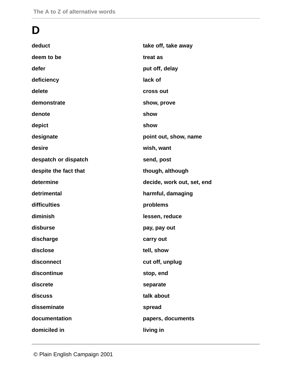# **D**

| deduct                | take off, take away        |
|-----------------------|----------------------------|
| deem to be            | treat as                   |
| defer                 | put off, delay             |
| deficiency            | lack of                    |
| delete                | cross out                  |
| demonstrate           | show, prove                |
| denote                | show                       |
| depict                | show                       |
| designate             | point out, show, name      |
| desire                | wish, want                 |
| despatch or dispatch  | send, post                 |
| despite the fact that | though, although           |
| determine             | decide, work out, set, end |
| detrimental           | harmful, damaging          |
| difficulties          | problems                   |
| diminish              | lessen, reduce             |
| disburse              | pay, pay out               |
| discharge             | carry out                  |
| disclose              | tell, show                 |
| disconnect            | cut off, unplug            |
| discontinue           | stop, end                  |
| discrete              | separate                   |
| discuss               | talk about                 |
| disseminate           | spread                     |
| documentation         | papers, documents          |
| domiciled in          | living in                  |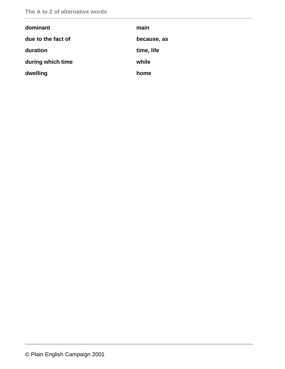| dominant           | main        |
|--------------------|-------------|
| due to the fact of | because, as |
| duration           | time, life  |
| during which time  | while       |
| dwelling           | home        |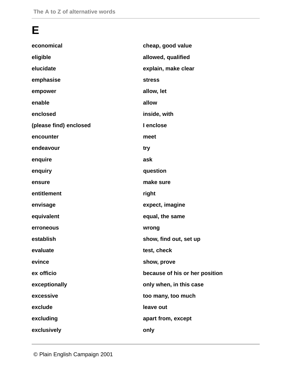#### **E**

| economical             | cheap, good value              |
|------------------------|--------------------------------|
| eligible               | allowed, qualified             |
| elucidate              | explain, make clear            |
| emphasise              | <b>stress</b>                  |
| empower                | allow, let                     |
| enable                 | allow                          |
| enclosed               | inside, with                   |
| (please find) enclosed | I enclose                      |
| encounter              | meet                           |
| endeavour              | try                            |
| enquire                | ask                            |
| enquiry                | question                       |
| ensure                 | make sure                      |
| entitlement            | right                          |
| envisage               | expect, imagine                |
| equivalent             | equal, the same                |
| erroneous              | wrong                          |
| establish              | show, find out, set up         |
| evaluate               | test, check                    |
| evince                 | show, prove                    |
| ex officio             | because of his or her position |
| exceptionally          | only when, in this case        |
| excessive              | too many, too much             |
| exclude                | leave out                      |
| excluding              | apart from, except             |
| exclusively            | only                           |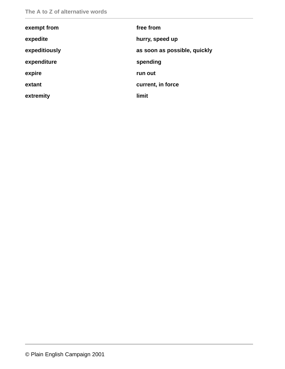| exempt from   | free from                    |
|---------------|------------------------------|
| expedite      | hurry, speed up              |
| expeditiously | as soon as possible, quickly |
| expenditure   | spending                     |
| expire        | run out                      |
| extant        | current, in force            |
| extremity     | limit                        |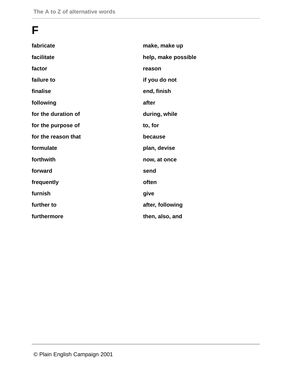# **F**

| fabricate           | make, make up       |
|---------------------|---------------------|
| facilitate          | help, make possible |
| factor              | reason              |
| failure to          | if you do not       |
| finalise            | end, finish         |
| following           | after               |
| for the duration of | during, while       |
| for the purpose of  | to, for             |
| for the reason that | because             |
| formulate           | plan, devise        |
| forthwith           | now, at once        |
| forward             | send                |
| frequently          | often               |
| furnish             | give                |
| further to          | after, following    |
| furthermore         | then, also, and     |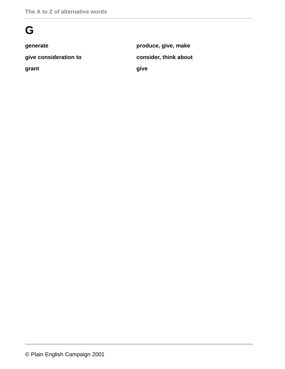# **G**

| generate              | produce, give, make   |
|-----------------------|-----------------------|
| give consideration to | consider, think about |
| grant                 | qive                  |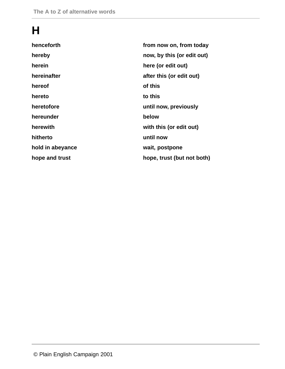# **H**

| henceforth       | from now on, from today    |
|------------------|----------------------------|
| hereby           | now, by this (or edit out) |
| herein           | here (or edit out)         |
| hereinafter      | after this (or edit out)   |
| hereof           | of this                    |
| hereto           | to this                    |
| heretofore       | until now, previously      |
| hereunder        | below                      |
| herewith         | with this (or edit out)    |
| hitherto         | until now                  |
| hold in abeyance | wait, postpone             |
| hope and trust   | hope, trust (but not both) |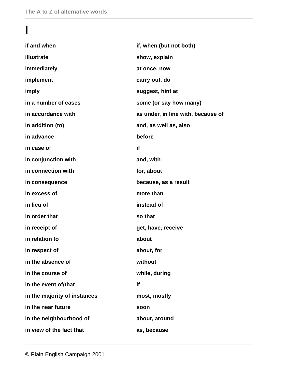#### **I**

| if and when                  | if, when (but not both)            |
|------------------------------|------------------------------------|
| illustrate                   | show, explain                      |
| immediately                  | at once, now                       |
| implement                    | carry out, do                      |
| imply                        | suggest, hint at                   |
| in a number of cases         | some (or say how many)             |
| in accordance with           | as under, in line with, because of |
| in addition (to)             | and, as well as, also              |
| in advance                   | before                             |
| in case of                   | if                                 |
| in conjunction with          | and, with                          |
| in connection with           | for, about                         |
| in consequence               | because, as a result               |
| in excess of                 | more than                          |
| in lieu of                   | instead of                         |
| in order that                | so that                            |
| in receipt of                | get, have, receive                 |
| in relation to               | about                              |
| in respect of                | about, for                         |
| in the absence of            | without                            |
| in the course of             | while, during                      |
| in the event of/that         | if                                 |
| in the majority of instances | most, mostly                       |
| in the near future           | soon                               |
| in the neighbourhood of      | about, around                      |
| in view of the fact that     | as, because                        |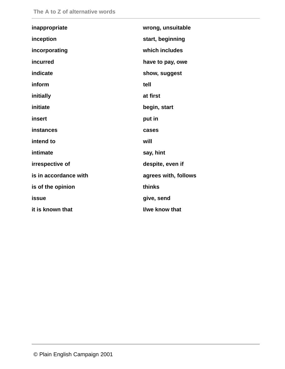| inappropriate         | wrong, unsuitable    |
|-----------------------|----------------------|
| inception             | start, beginning     |
| incorporating         | which includes       |
| incurred              | have to pay, owe     |
| indicate              | show, suggest        |
| inform                | tell                 |
| initially             | at first             |
| initiate              | begin, start         |
| insert                | put in               |
| instances             | cases                |
| intend to             | will                 |
| intimate              | say, hint            |
| irrespective of       | despite, even if     |
| is in accordance with | agrees with, follows |
| is of the opinion     | thinks               |
| issue                 | give, send           |
| it is known that      | I/we know that       |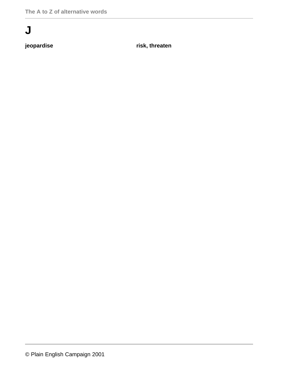# **J**

**jeopardise risk, threaten**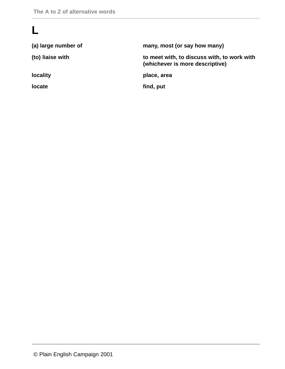# **L**

| (a) large number of | many, most (or say how many)                                                   |
|---------------------|--------------------------------------------------------------------------------|
| (to) liaise with    | to meet with, to discuss with, to work with<br>(whichever is more descriptive) |
| <b>locality</b>     | place, area                                                                    |
| <b>locate</b>       | find, put                                                                      |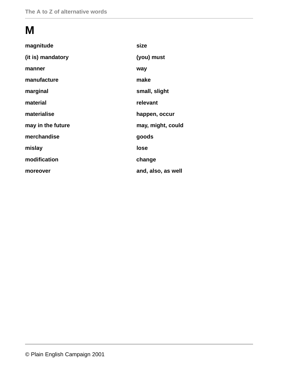# **M**

| magnitude         | size               |
|-------------------|--------------------|
| (it is) mandatory | (you) must         |
| manner            | way                |
| manufacture       | make               |
| marginal          | small, slight      |
| material          | relevant           |
| materialise       | happen, occur      |
| may in the future | may, might, could  |
| merchandise       | goods              |
| mislay            | lose               |
| modification      | change             |
| moreover          | and, also, as well |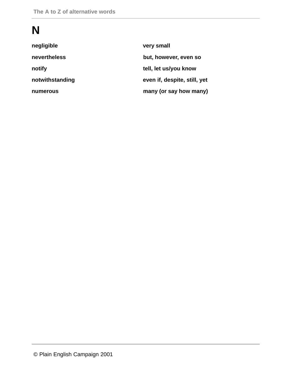# **N**

| very small                   |
|------------------------------|
| but, however, even so        |
| tell, let us/you know        |
| even if, despite, still, yet |
| many (or say how many)       |
|                              |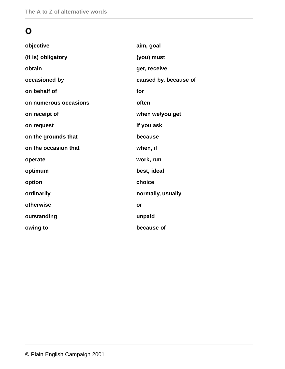#### **o**

| objective             | aim, goal             |
|-----------------------|-----------------------|
| (it is) obligatory    | (you) must            |
| obtain                | get, receive          |
| occasioned by         | caused by, because of |
| on behalf of          | for                   |
| on numerous occasions | often                 |
| on receipt of         | when we/you get       |
| on request            | if you ask            |
| on the grounds that   | because               |
| on the occasion that  | when, if              |
| operate               | work, run             |
| optimum               | best, ideal           |
| option                | choice                |
| ordinarily            | normally, usually     |
| otherwise             | or                    |
| outstanding           | unpaid                |
| owing to              | because of            |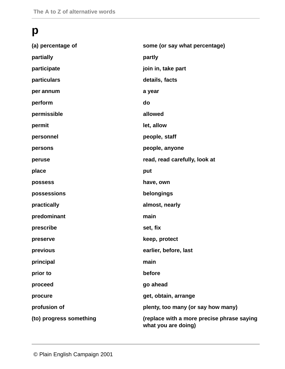# **p**

| (a) percentage of       | some (or say what percentage)                                     |
|-------------------------|-------------------------------------------------------------------|
| partially               | partly                                                            |
| participate             | join in, take part                                                |
| particulars             | details, facts                                                    |
| per annum               | a year                                                            |
| perform                 | do                                                                |
| permissible             | allowed                                                           |
| permit                  | let, allow                                                        |
| personnel               | people, staff                                                     |
| persons                 | people, anyone                                                    |
| peruse                  | read, read carefully, look at                                     |
| place                   | put                                                               |
| possess                 | have, own                                                         |
| possessions             | belongings                                                        |
| practically             | almost, nearly                                                    |
| predominant             | main                                                              |
| prescribe               | set, fix                                                          |
| preserve                | keep, protect                                                     |
| previous                | earlier, before, last                                             |
| principal               | main                                                              |
| prior to                | before                                                            |
| proceed                 | go ahead                                                          |
| procure                 | get, obtain, arrange                                              |
| profusion of            | plenty, too many (or say how many)                                |
| (to) progress something | (replace with a more precise phrase saying<br>what you are doing) |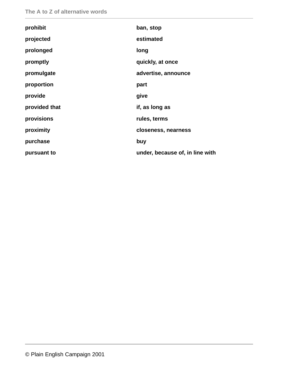| prohibit      | ban, stop                       |
|---------------|---------------------------------|
| projected     | estimated                       |
| prolonged     | long                            |
| promptly      | quickly, at once                |
| promulgate    | advertise, announce             |
| proportion    | part                            |
| provide       | give                            |
| provided that | if, as long as                  |
| provisions    | rules, terms                    |
| proximity     | closeness, nearness             |
| purchase      | buy                             |
| pursuant to   | under, because of, in line with |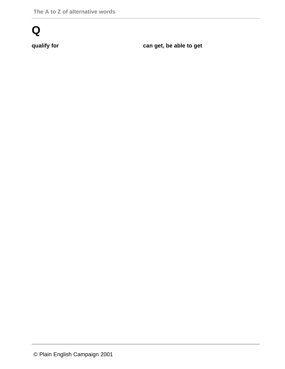# **Q**

**qualify for can get, be able to get**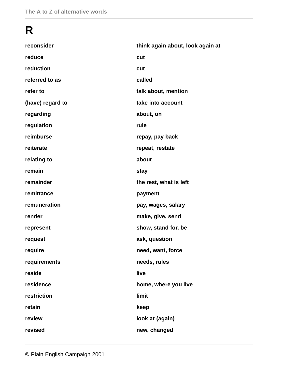# **R**

| reconsider       | think again about, look again at |
|------------------|----------------------------------|
| reduce           | cut                              |
| reduction        | cut                              |
| referred to as   | called                           |
| refer to         | talk about, mention              |
| (have) regard to | take into account                |
| regarding        | about, on                        |
| regulation       | rule                             |
| reimburse        | repay, pay back                  |
| reiterate        | repeat, restate                  |
| relating to      | about                            |
| remain           | stay                             |
| remainder        | the rest, what is left           |
| remittance       | payment                          |
| remuneration     | pay, wages, salary               |
| render           | make, give, send                 |
| represent        | show, stand for, be              |
| request          | ask, question                    |
| require          | need, want, force                |
| requirements     | needs, rules                     |
| reside           | live                             |
| residence        | home, where you live             |
| restriction      | limit                            |
| retain           | keep                             |
| review           | look at (again)                  |
| revised          | new, changed                     |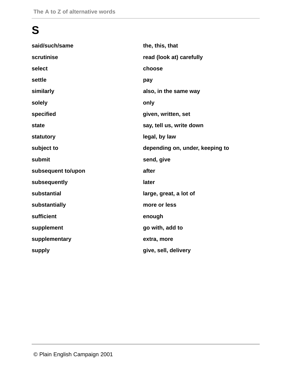# **S**

| said/such/same     | the, this, that                 |
|--------------------|---------------------------------|
| scrutinise         | read (look at) carefully        |
| select             | choose                          |
| settle             | pay                             |
| similarly          | also, in the same way           |
| solely             | only                            |
| specified          | given, written, set             |
| state              | say, tell us, write down        |
| statutory          | legal, by law                   |
| subject to         | depending on, under, keeping to |
| submit             | send, give                      |
| subsequent to/upon | after                           |
| subsequently       | later                           |
| substantial        | large, great, a lot of          |
| substantially      | more or less                    |
| sufficient         | enough                          |
| supplement         | go with, add to                 |
| supplementary      | extra, more                     |
| supply             | give, sell, delivery            |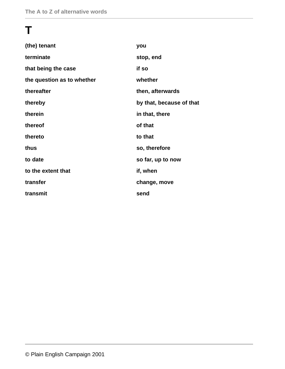# **T**

| (the) tenant               | you                      |
|----------------------------|--------------------------|
| terminate                  | stop, end                |
| that being the case        | if so                    |
| the question as to whether | whether                  |
| thereafter                 | then, afterwards         |
| thereby                    | by that, because of that |
| therein                    | in that, there           |
| thereof                    | of that                  |
| thereto                    | to that                  |
| thus                       | so, therefore            |
| to date                    | so far, up to now        |
| to the extent that         | if, when                 |
| transfer                   | change, move             |
| transmit                   | send                     |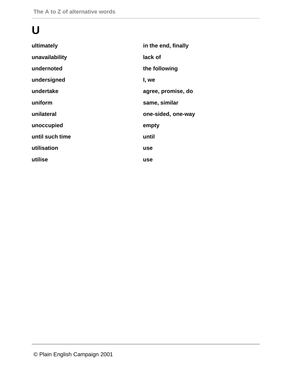# **U**

| ultimately      | in the end, finally |
|-----------------|---------------------|
| unavailability  | lack of             |
| undernoted      | the following       |
| undersigned     | I, we               |
| undertake       | agree, promise, do  |
| uniform         | same, similar       |
| unilateral      | one-sided, one-way  |
| unoccupied      | empty               |
| until such time | until               |
| utilisation     | use                 |
| utilise         | use                 |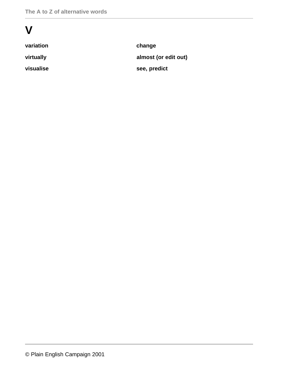# **V**

| variation | change               |
|-----------|----------------------|
| virtually | almost (or edit out) |
| visualise | see, predict         |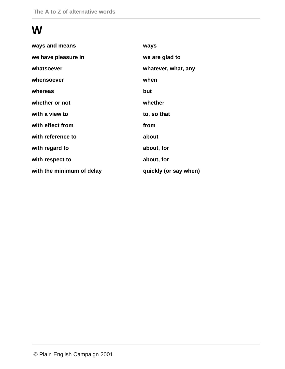# **W**

| ways and means            | ways                  |
|---------------------------|-----------------------|
| we have pleasure in       | we are glad to        |
| whatsoever                | whatever, what, any   |
| whensoever                | when                  |
| whereas                   | but                   |
| whether or not            | whether               |
| with a view to            | to, so that           |
| with effect from          | from                  |
| with reference to         | about                 |
| with regard to            | about, for            |
| with respect to           | about, for            |
| with the minimum of delay | quickly (or say when) |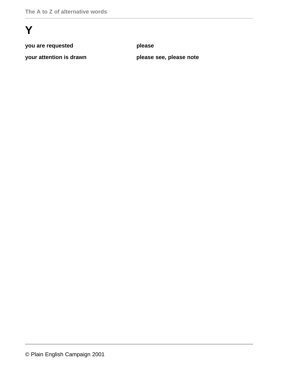# **Y**

**you are requested please**

**your attention is drawn please see, please note**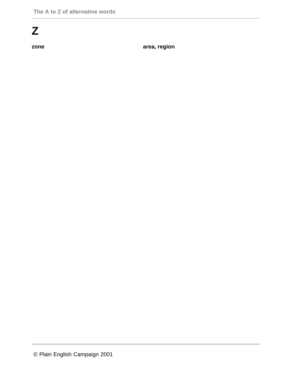# **Z**

**zone** area, region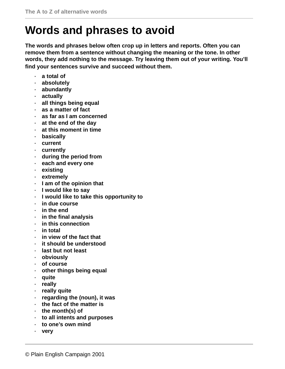# **Words and phrases to avoid**

**The words and phrases below often crop up in letters and reports. Often you can remove them from a sentence without changing the meaning or the tone. In other words, they add nothing to the message. Try leaving them out of your writing. You'll find your sentences survive and succeed without them.**

- · **a total of**
- · **absolutely**
- · **abundantly**
- · **actually**
- · **all things being equal**
- · **as a matter of fact**
- · **as far as I am concerned**
- · **at the end of the day**
- · **at this moment in time**
- · **basically**
- · **current**
- · **currently**
- · **during the period from**
- · **each and every one**
- · **existing**
- · **extremely**
- · **I am of the opinion that**
- · **I would like to say**
- · **I would like to take this opportunity to**
- · **in due course**
- · **in the end**
- · **in the final analysis**
- · **in this connection**
- · **in total**
- · **in view of the fact that**
- · **it should be understood**
- · **last but not least**
- · **obviously**
- · **of course**
- · **other things being equal**
- · **quite**
- · **really**
- · **really quite**
- · **regarding the (noun), it was**
- · **the fact of the matter is**
- · **the month(s) of**
- · **to all intents and purposes**
- · **to one's own mind**
- · **very**